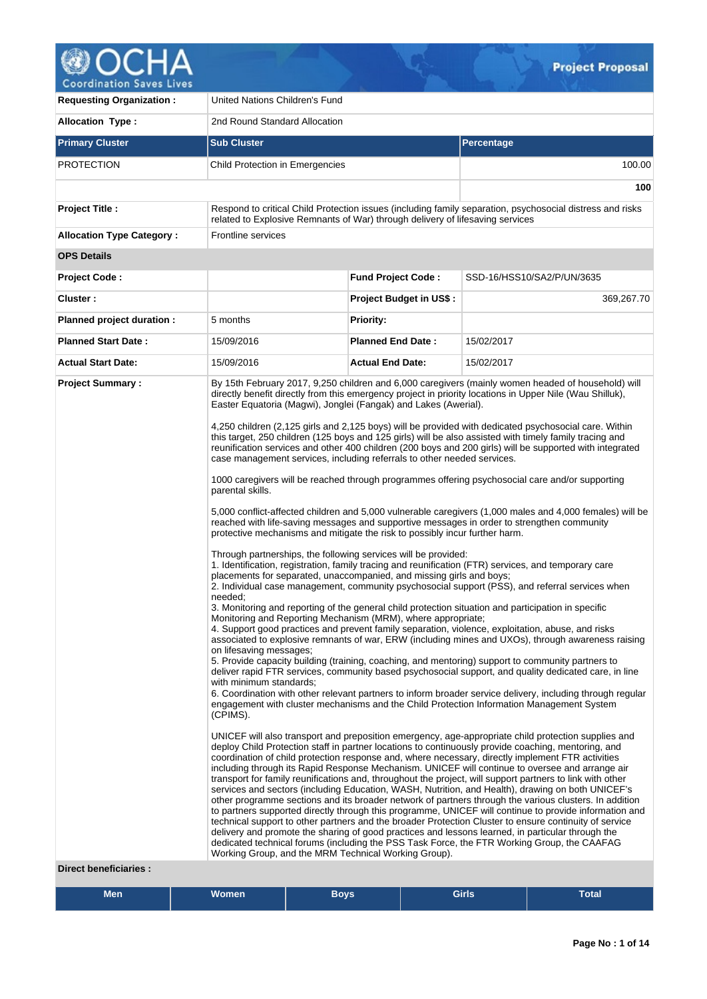

**Coordination Saves Lives** 

| <b>Requesting Organization:</b>                         | United Nations Children's Fund                                                                                                                        |                                                                                                                                                                                                                                                                                                                                                                                                                                                                                                                                                                                                                                                                                                                                                                                                                                                                                                                                                                                                                                                                                                                                                                                                                                                                                                                                                                                                                                                                                                                                                                                                                                                                                                                                                                                                                                                                                                                                                                                                                                                                                                                                                                                                                                                                                                                                                                                                                                                                                                                                                                                                                                                                                                                                                                                                                                                                                                                                                                                                                                                                                                                                                                                                                                                                                                                                                                                                                                    |                                                                                                           |  |  |  |  |  |
|---------------------------------------------------------|-------------------------------------------------------------------------------------------------------------------------------------------------------|------------------------------------------------------------------------------------------------------------------------------------------------------------------------------------------------------------------------------------------------------------------------------------------------------------------------------------------------------------------------------------------------------------------------------------------------------------------------------------------------------------------------------------------------------------------------------------------------------------------------------------------------------------------------------------------------------------------------------------------------------------------------------------------------------------------------------------------------------------------------------------------------------------------------------------------------------------------------------------------------------------------------------------------------------------------------------------------------------------------------------------------------------------------------------------------------------------------------------------------------------------------------------------------------------------------------------------------------------------------------------------------------------------------------------------------------------------------------------------------------------------------------------------------------------------------------------------------------------------------------------------------------------------------------------------------------------------------------------------------------------------------------------------------------------------------------------------------------------------------------------------------------------------------------------------------------------------------------------------------------------------------------------------------------------------------------------------------------------------------------------------------------------------------------------------------------------------------------------------------------------------------------------------------------------------------------------------------------------------------------------------------------------------------------------------------------------------------------------------------------------------------------------------------------------------------------------------------------------------------------------------------------------------------------------------------------------------------------------------------------------------------------------------------------------------------------------------------------------------------------------------------------------------------------------------------------------------------------------------------------------------------------------------------------------------------------------------------------------------------------------------------------------------------------------------------------------------------------------------------------------------------------------------------------------------------------------------------------------------------------------------------------------------------------------------|-----------------------------------------------------------------------------------------------------------|--|--|--|--|--|
| <b>Allocation Type:</b>                                 | 2nd Round Standard Allocation                                                                                                                         |                                                                                                                                                                                                                                                                                                                                                                                                                                                                                                                                                                                                                                                                                                                                                                                                                                                                                                                                                                                                                                                                                                                                                                                                                                                                                                                                                                                                                                                                                                                                                                                                                                                                                                                                                                                                                                                                                                                                                                                                                                                                                                                                                                                                                                                                                                                                                                                                                                                                                                                                                                                                                                                                                                                                                                                                                                                                                                                                                                                                                                                                                                                                                                                                                                                                                                                                                                                                                                    |                                                                                                           |  |  |  |  |  |
| <b>Primary Cluster</b>                                  | <b>Sub Cluster</b>                                                                                                                                    | <b>Percentage</b>                                                                                                                                                                                                                                                                                                                                                                                                                                                                                                                                                                                                                                                                                                                                                                                                                                                                                                                                                                                                                                                                                                                                                                                                                                                                                                                                                                                                                                                                                                                                                                                                                                                                                                                                                                                                                                                                                                                                                                                                                                                                                                                                                                                                                                                                                                                                                                                                                                                                                                                                                                                                                                                                                                                                                                                                                                                                                                                                                                                                                                                                                                                                                                                                                                                                                                                                                                                                                  |                                                                                                           |  |  |  |  |  |
| <b>PROTECTION</b>                                       | Child Protection in Emergencies                                                                                                                       |                                                                                                                                                                                                                                                                                                                                                                                                                                                                                                                                                                                                                                                                                                                                                                                                                                                                                                                                                                                                                                                                                                                                                                                                                                                                                                                                                                                                                                                                                                                                                                                                                                                                                                                                                                                                                                                                                                                                                                                                                                                                                                                                                                                                                                                                                                                                                                                                                                                                                                                                                                                                                                                                                                                                                                                                                                                                                                                                                                                                                                                                                                                                                                                                                                                                                                                                                                                                                                    | 100.00                                                                                                    |  |  |  |  |  |
|                                                         |                                                                                                                                                       |                                                                                                                                                                                                                                                                                                                                                                                                                                                                                                                                                                                                                                                                                                                                                                                                                                                                                                                                                                                                                                                                                                                                                                                                                                                                                                                                                                                                                                                                                                                                                                                                                                                                                                                                                                                                                                                                                                                                                                                                                                                                                                                                                                                                                                                                                                                                                                                                                                                                                                                                                                                                                                                                                                                                                                                                                                                                                                                                                                                                                                                                                                                                                                                                                                                                                                                                                                                                                                    | 100                                                                                                       |  |  |  |  |  |
| <b>Project Title:</b>                                   | related to Explosive Remnants of War) through delivery of lifesaving services                                                                         |                                                                                                                                                                                                                                                                                                                                                                                                                                                                                                                                                                                                                                                                                                                                                                                                                                                                                                                                                                                                                                                                                                                                                                                                                                                                                                                                                                                                                                                                                                                                                                                                                                                                                                                                                                                                                                                                                                                                                                                                                                                                                                                                                                                                                                                                                                                                                                                                                                                                                                                                                                                                                                                                                                                                                                                                                                                                                                                                                                                                                                                                                                                                                                                                                                                                                                                                                                                                                                    | Respond to critical Child Protection issues (including family separation, psychosocial distress and risks |  |  |  |  |  |
| <b>Allocation Type Category:</b>                        | <b>Frontline services</b>                                                                                                                             |                                                                                                                                                                                                                                                                                                                                                                                                                                                                                                                                                                                                                                                                                                                                                                                                                                                                                                                                                                                                                                                                                                                                                                                                                                                                                                                                                                                                                                                                                                                                                                                                                                                                                                                                                                                                                                                                                                                                                                                                                                                                                                                                                                                                                                                                                                                                                                                                                                                                                                                                                                                                                                                                                                                                                                                                                                                                                                                                                                                                                                                                                                                                                                                                                                                                                                                                                                                                                                    |                                                                                                           |  |  |  |  |  |
| <b>OPS Details</b>                                      |                                                                                                                                                       |                                                                                                                                                                                                                                                                                                                                                                                                                                                                                                                                                                                                                                                                                                                                                                                                                                                                                                                                                                                                                                                                                                                                                                                                                                                                                                                                                                                                                                                                                                                                                                                                                                                                                                                                                                                                                                                                                                                                                                                                                                                                                                                                                                                                                                                                                                                                                                                                                                                                                                                                                                                                                                                                                                                                                                                                                                                                                                                                                                                                                                                                                                                                                                                                                                                                                                                                                                                                                                    |                                                                                                           |  |  |  |  |  |
| <b>Project Code:</b>                                    |                                                                                                                                                       | <b>Fund Project Code:</b>                                                                                                                                                                                                                                                                                                                                                                                                                                                                                                                                                                                                                                                                                                                                                                                                                                                                                                                                                                                                                                                                                                                                                                                                                                                                                                                                                                                                                                                                                                                                                                                                                                                                                                                                                                                                                                                                                                                                                                                                                                                                                                                                                                                                                                                                                                                                                                                                                                                                                                                                                                                                                                                                                                                                                                                                                                                                                                                                                                                                                                                                                                                                                                                                                                                                                                                                                                                                          | SSD-16/HSS10/SA2/P/UN/3635                                                                                |  |  |  |  |  |
| Cluster:                                                |                                                                                                                                                       | <b>Project Budget in US\$:</b>                                                                                                                                                                                                                                                                                                                                                                                                                                                                                                                                                                                                                                                                                                                                                                                                                                                                                                                                                                                                                                                                                                                                                                                                                                                                                                                                                                                                                                                                                                                                                                                                                                                                                                                                                                                                                                                                                                                                                                                                                                                                                                                                                                                                                                                                                                                                                                                                                                                                                                                                                                                                                                                                                                                                                                                                                                                                                                                                                                                                                                                                                                                                                                                                                                                                                                                                                                                                     | 369,267.70                                                                                                |  |  |  |  |  |
| Planned project duration :                              | 5 months                                                                                                                                              | <b>Priority:</b>                                                                                                                                                                                                                                                                                                                                                                                                                                                                                                                                                                                                                                                                                                                                                                                                                                                                                                                                                                                                                                                                                                                                                                                                                                                                                                                                                                                                                                                                                                                                                                                                                                                                                                                                                                                                                                                                                                                                                                                                                                                                                                                                                                                                                                                                                                                                                                                                                                                                                                                                                                                                                                                                                                                                                                                                                                                                                                                                                                                                                                                                                                                                                                                                                                                                                                                                                                                                                   |                                                                                                           |  |  |  |  |  |
| <b>Planned Start Date:</b>                              | 15/09/2016                                                                                                                                            | <b>Planned End Date:</b>                                                                                                                                                                                                                                                                                                                                                                                                                                                                                                                                                                                                                                                                                                                                                                                                                                                                                                                                                                                                                                                                                                                                                                                                                                                                                                                                                                                                                                                                                                                                                                                                                                                                                                                                                                                                                                                                                                                                                                                                                                                                                                                                                                                                                                                                                                                                                                                                                                                                                                                                                                                                                                                                                                                                                                                                                                                                                                                                                                                                                                                                                                                                                                                                                                                                                                                                                                                                           | 15/02/2017                                                                                                |  |  |  |  |  |
| <b>Actual Start Date:</b>                               | 15/09/2016                                                                                                                                            | <b>Actual End Date:</b>                                                                                                                                                                                                                                                                                                                                                                                                                                                                                                                                                                                                                                                                                                                                                                                                                                                                                                                                                                                                                                                                                                                                                                                                                                                                                                                                                                                                                                                                                                                                                                                                                                                                                                                                                                                                                                                                                                                                                                                                                                                                                                                                                                                                                                                                                                                                                                                                                                                                                                                                                                                                                                                                                                                                                                                                                                                                                                                                                                                                                                                                                                                                                                                                                                                                                                                                                                                                            | 15/02/2017                                                                                                |  |  |  |  |  |
| <b>Project Summary:</b><br><b>Direct beneficiaries:</b> | parental skills.<br>needed:<br>on lifesaving messages;<br>with minimum standards;<br>(CPIMS).<br>Working Group, and the MRM Technical Working Group). | By 15th February 2017, 9,250 children and 6,000 caregivers (mainly women headed of household) will<br>directly benefit directly from this emergency project in priority locations in Upper Nile (Wau Shilluk),<br>Easter Equatoria (Magwi), Jonglei (Fangak) and Lakes (Awerial).<br>4,250 children (2,125 girls and 2,125 boys) will be provided with dedicated psychosocial care. Within<br>this target, 250 children (125 boys and 125 girls) will be also assisted with timely family tracing and<br>reunification services and other 400 children (200 boys and 200 girls) will be supported with integrated<br>case management services, including referrals to other needed services.<br>1000 caregivers will be reached through programmes offering psychosocial care and/or supporting<br>5,000 conflict-affected children and 5,000 vulnerable caregivers (1,000 males and 4,000 females) will be<br>reached with life-saving messages and supportive messages in order to strengthen community<br>protective mechanisms and mitigate the risk to possibly incur further harm.<br>Through partnerships, the following services will be provided:<br>1. Identification, registration, family tracing and reunification (FTR) services, and temporary care<br>placements for separated, unaccompanied, and missing girls and boys;<br>2. Individual case management, community psychosocial support (PSS), and referral services when<br>3. Monitoring and reporting of the general child protection situation and participation in specific<br>Monitoring and Reporting Mechanism (MRM), where appropriate;<br>4. Support good practices and prevent family separation, violence, exploitation, abuse, and risks<br>associated to explosive remnants of war, ERW (including mines and UXOs), through awareness raising<br>5. Provide capacity building (training, coaching, and mentoring) support to community partners to<br>deliver rapid FTR services, community based psychosocial support, and quality dedicated care, in line<br>6. Coordination with other relevant partners to inform broader service delivery, including through regular<br>engagement with cluster mechanisms and the Child Protection Information Management System<br>UNICEF will also transport and preposition emergency, age-appropriate child protection supplies and<br>deploy Child Protection staff in partner locations to continuously provide coaching, mentoring, and<br>coordination of child protection response and, where necessary, directly implement FTR activities<br>including through its Rapid Response Mechanism. UNICEF will continue to oversee and arrange air<br>transport for family reunifications and, throughout the project, will support partners to link with other<br>services and sectors (including Education, WASH, Nutrition, and Health), drawing on both UNICEF's<br>other programme sections and its broader network of partners through the various clusters. In addition<br>to partners supported directly through this programme, UNICEF will continue to provide information and<br>technical support to other partners and the broader Protection Cluster to ensure continuity of service<br>delivery and promote the sharing of good practices and lessons learned, in particular through the<br>dedicated technical forums (including the PSS Task Force, the FTR Working Group, the CAAFAG |                                                                                                           |  |  |  |  |  |

| <b>Men</b> | .<br>Women | <b>Boys</b> | Girls | -<br>Total |  |
|------------|------------|-------------|-------|------------|--|
|------------|------------|-------------|-------|------------|--|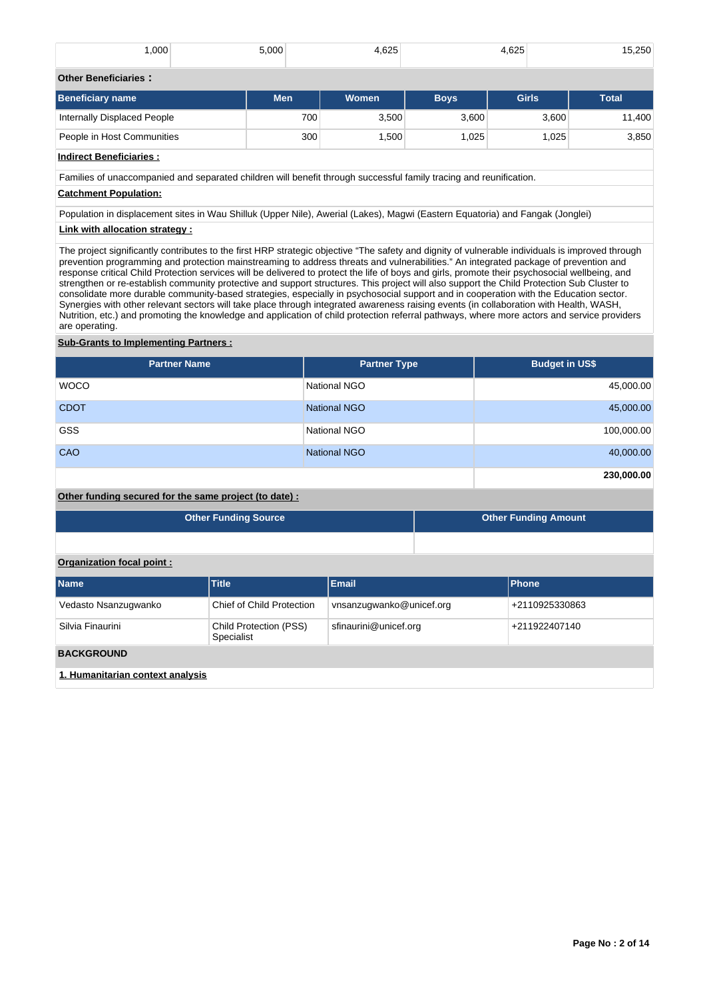| ,000                        | 5,000 | 1.625 | .625<br>15,250 |         |
|-----------------------------|-------|-------|----------------|---------|
|                             |       |       |                |         |
| <b>Other Beneficiaries:</b> |       |       |                |         |
| .                           | .     | .     |                | .<br>__ |

| Beneficiary name            | <b>Men</b> | <b>Women</b>      | <b>Bovs</b> | <b>Girls</b> | <b>Total</b> |
|-----------------------------|------------|-------------------|-------------|--------------|--------------|
| Internally Displaced People | 700        | 3.500             | 3.600       | 3,600        | 11.400       |
| People in Host Communities  | 300        | .500 <sup>1</sup> | .025        | .025         | 3,850        |

# **Indirect Beneficiaries :**

Families of unaccompanied and separated children will benefit through successful family tracing and reunification.

# **Catchment Population:**

Population in displacement sites in Wau Shilluk (Upper Nile), Awerial (Lakes), Magwi (Eastern Equatoria) and Fangak (Jonglei) **Link with allocation strategy :**

The project significantly contributes to the first HRP strategic objective "The safety and dignity of vulnerable individuals is improved through prevention programming and protection mainstreaming to address threats and vulnerabilities." An integrated package of prevention and response critical Child Protection services will be delivered to protect the life of boys and girls, promote their psychosocial wellbeing, and strengthen or re-establish community protective and support structures. This project will also support the Child Protection Sub Cluster to consolidate more durable community-based strategies, especially in psychosocial support and in cooperation with the Education sector. Synergies with other relevant sectors will take place through integrated awareness raising events (in collaboration with Health, WASH, Nutrition, etc.) and promoting the knowledge and application of child protection referral pathways, where more actors and service providers are operating.

# **Sub-Grants to Implementing Partners :**

| <b>Partner Name</b> | <b>Partner Type</b> | <b>Budget in US\$</b> |
|---------------------|---------------------|-----------------------|
| <b>WOCO</b>         | National NGO        | 45,000.00             |
| <b>CDOT</b>         | <b>National NGO</b> | 45,000.00             |
| <b>GSS</b>          | National NGO        | 100,000.00            |
| CAO                 | <b>National NGO</b> | 40,000.00             |
|                     |                     | 230,000.00            |

# **Other funding secured for the same project (to date) :**

| <b>Other Funding Source</b> | <b>Other Funding Amount</b> |
|-----------------------------|-----------------------------|
|                             |                             |

# **Organization focal point :**

| <b>Name</b>                      | <b>Title</b>                         | <b>Email</b>             | <b>Phone</b>   |  |  |  |  |  |
|----------------------------------|--------------------------------------|--------------------------|----------------|--|--|--|--|--|
| Vedasto Nsanzugwanko             | Chief of Child Protection            | vnsanzugwanko@unicef.org | +2110925330863 |  |  |  |  |  |
| Silvia Finaurini                 | Child Protection (PSS)<br>Specialist | sfinaurini@unicef.org    | +211922407140  |  |  |  |  |  |
| <b>BACKGROUND</b>                |                                      |                          |                |  |  |  |  |  |
| 1. Humanitarian context analysis |                                      |                          |                |  |  |  |  |  |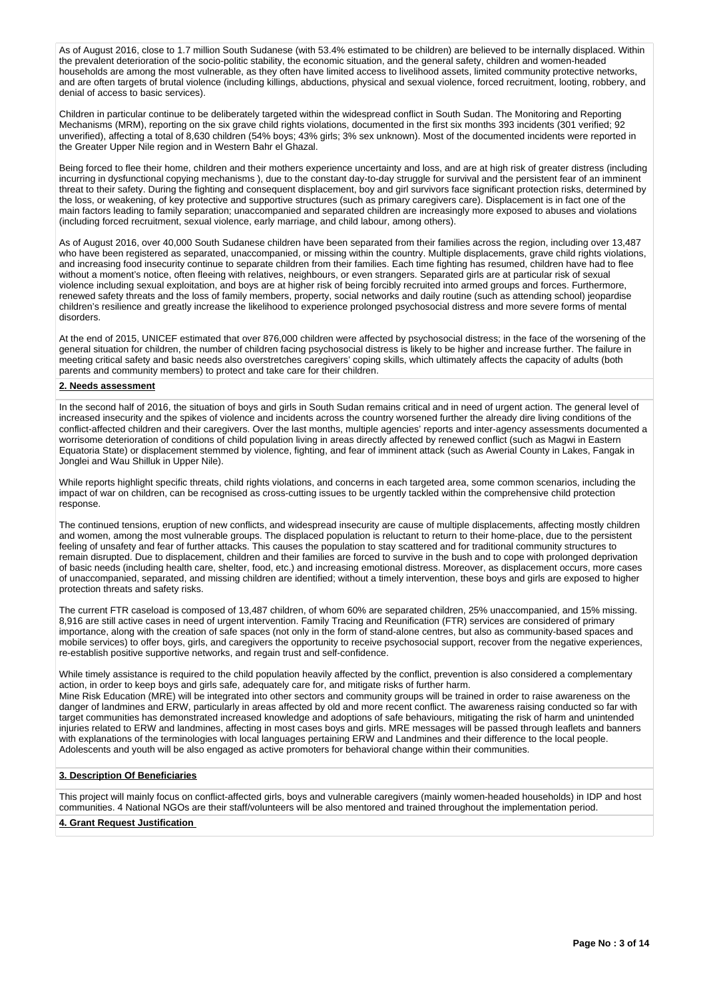As of August 2016, close to 1.7 million South Sudanese (with 53.4% estimated to be children) are believed to be internally displaced. Within the prevalent deterioration of the socio-politic stability, the economic situation, and the general safety, children and women-headed households are among the most vulnerable, as they often have limited access to livelihood assets, limited community protective networks, and are often targets of brutal violence (including killings, abductions, physical and sexual violence, forced recruitment, looting, robbery, and denial of access to basic services).

Children in particular continue to be deliberately targeted within the widespread conflict in South Sudan. The Monitoring and Reporting Mechanisms (MRM), reporting on the six grave child rights violations, documented in the first six months 393 incidents (301 verified; 92 unverified), affecting a total of 8,630 children (54% boys; 43% girls; 3% sex unknown). Most of the documented incidents were reported in the Greater Upper Nile region and in Western Bahr el Ghazal.

Being forced to flee their home, children and their mothers experience uncertainty and loss, and are at high risk of greater distress (including incurring in dysfunctional copying mechanisms ), due to the constant day-to-day struggle for survival and the persistent fear of an imminent threat to their safety. During the fighting and consequent displacement, boy and girl survivors face significant protection risks, determined by the loss, or weakening, of key protective and supportive structures (such as primary caregivers care). Displacement is in fact one of the main factors leading to family separation; unaccompanied and separated children are increasingly more exposed to abuses and violations (including forced recruitment, sexual violence, early marriage, and child labour, among others).

As of August 2016, over 40,000 South Sudanese children have been separated from their families across the region, including over 13,487 who have been registered as separated, unaccompanied, or missing within the country. Multiple displacements, grave child rights violations, and increasing food insecurity continue to separate children from their families. Each time fighting has resumed, children have had to flee without a moment's notice, often fleeing with relatives, neighbours, or even strangers. Separated girls are at particular risk of sexual violence including sexual exploitation, and boys are at higher risk of being forcibly recruited into armed groups and forces. Furthermore, renewed safety threats and the loss of family members, property, social networks and daily routine (such as attending school) jeopardise children's resilience and greatly increase the likelihood to experience prolonged psychosocial distress and more severe forms of mental disorders.

At the end of 2015, UNICEF estimated that over 876,000 children were affected by psychosocial distress; in the face of the worsening of the general situation for children, the number of children facing psychosocial distress is likely to be higher and increase further. The failure in meeting critical safety and basic needs also overstretches caregivers' coping skills, which ultimately affects the capacity of adults (both parents and community members) to protect and take care for their children.

## **2. Needs assessment**

In the second half of 2016, the situation of boys and girls in South Sudan remains critical and in need of urgent action. The general level of increased insecurity and the spikes of violence and incidents across the country worsened further the already dire living conditions of the conflict-affected children and their caregivers. Over the last months, multiple agencies' reports and inter-agency assessments documented a worrisome deterioration of conditions of child population living in areas directly affected by renewed conflict (such as Magwi in Eastern Equatoria State) or displacement stemmed by violence, fighting, and fear of imminent attack (such as Awerial County in Lakes, Fangak in Jonglei and Wau Shilluk in Upper Nile).

While reports highlight specific threats, child rights violations, and concerns in each targeted area, some common scenarios, including the impact of war on children, can be recognised as cross-cutting issues to be urgently tackled within the comprehensive child protection response.

The continued tensions, eruption of new conflicts, and widespread insecurity are cause of multiple displacements, affecting mostly children and women, among the most vulnerable groups. The displaced population is reluctant to return to their home-place, due to the persistent feeling of unsafety and fear of further attacks. This causes the population to stay scattered and for traditional community structures to remain disrupted. Due to displacement, children and their families are forced to survive in the bush and to cope with prolonged deprivation of basic needs (including health care, shelter, food, etc.) and increasing emotional distress. Moreover, as displacement occurs, more cases of unaccompanied, separated, and missing children are identified; without a timely intervention, these boys and girls are exposed to higher protection threats and safety risks.

The current FTR caseload is composed of 13,487 children, of whom 60% are separated children, 25% unaccompanied, and 15% missing. 8,916 are still active cases in need of urgent intervention. Family Tracing and Reunification (FTR) services are considered of primary importance, along with the creation of safe spaces (not only in the form of stand-alone centres, but also as community-based spaces and mobile services) to offer boys, girls, and caregivers the opportunity to receive psychosocial support, recover from the negative experiences, re-establish positive supportive networks, and regain trust and self-confidence.

While timely assistance is required to the child population heavily affected by the conflict, prevention is also considered a complementary action, in order to keep boys and girls safe, adequately care for, and mitigate risks of further harm. Mine Risk Education (MRE) will be integrated into other sectors and community groups will be trained in order to raise awareness on the danger of landmines and ERW, particularly in areas affected by old and more recent conflict. The awareness raising conducted so far with target communities has demonstrated increased knowledge and adoptions of safe behaviours, mitigating the risk of harm and unintended

injuries related to ERW and landmines, affecting in most cases boys and girls. MRE messages will be passed through leaflets and banners with explanations of the terminologies with local languages pertaining ERW and Landmines and their difference to the local people. Adolescents and youth will be also engaged as active promoters for behavioral change within their communities.

## **3. Description Of Beneficiaries**

This project will mainly focus on conflict-affected girls, boys and vulnerable caregivers (mainly women-headed households) in IDP and host communities. 4 National NGOs are their staff/volunteers will be also mentored and trained throughout the implementation period.

# **4. Grant Request Justification**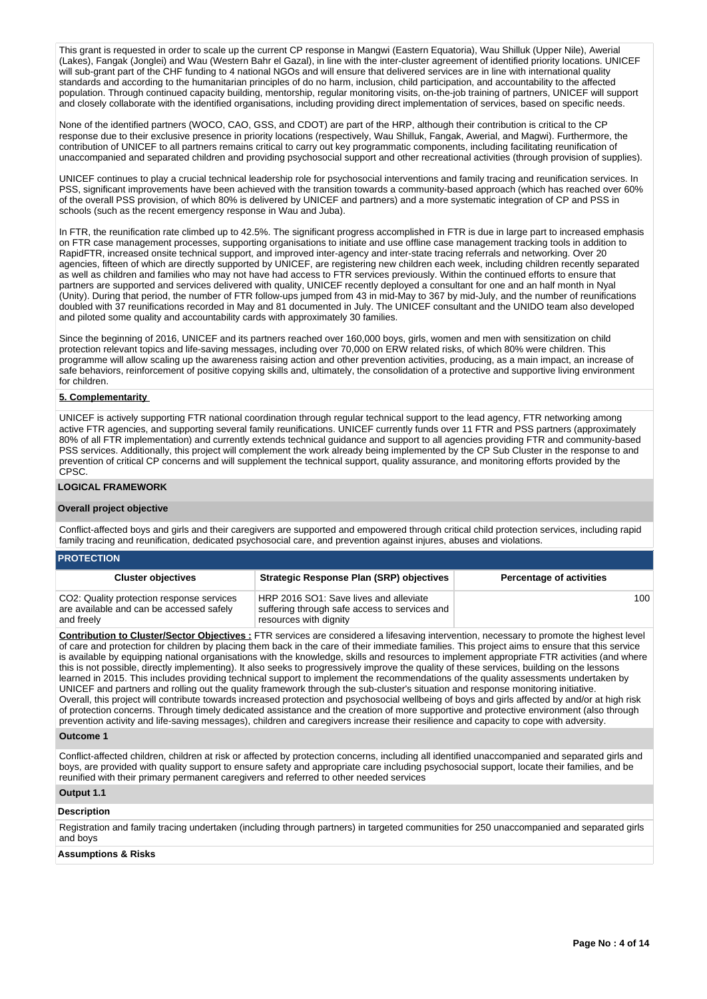This grant is requested in order to scale up the current CP response in Mangwi (Eastern Equatoria), Wau Shilluk (Upper Nile), Awerial (Lakes), Fangak (Jonglei) and Wau (Western Bahr el Gazal), in line with the inter-cluster agreement of identified priority locations. UNICEF will sub-grant part of the CHF funding to 4 national NGOs and will ensure that delivered services are in line with international quality standards and according to the humanitarian principles of do no harm, inclusion, child participation, and accountability to the affected population. Through continued capacity building, mentorship, regular monitoring visits, on-the-job training of partners, UNICEF will support and closely collaborate with the identified organisations, including providing direct implementation of services, based on specific needs.

None of the identified partners (WOCO, CAO, GSS, and CDOT) are part of the HRP, although their contribution is critical to the CP response due to their exclusive presence in priority locations (respectively, Wau Shilluk, Fangak, Awerial, and Magwi). Furthermore, the contribution of UNICEF to all partners remains critical to carry out key programmatic components, including facilitating reunification of unaccompanied and separated children and providing psychosocial support and other recreational activities (through provision of supplies).

UNICEF continues to play a crucial technical leadership role for psychosocial interventions and family tracing and reunification services. In PSS, significant improvements have been achieved with the transition towards a community-based approach (which has reached over 60% of the overall PSS provision, of which 80% is delivered by UNICEF and partners) and a more systematic integration of CP and PSS in schools (such as the recent emergency response in Wau and Juba).

In FTR, the reunification rate climbed up to 42.5%. The significant progress accomplished in FTR is due in large part to increased emphasis on FTR case management processes, supporting organisations to initiate and use offline case management tracking tools in addition to RapidFTR, increased onsite technical support, and improved inter-agency and inter-state tracing referrals and networking. Over 20 agencies, fifteen of which are directly supported by UNICEF, are registering new children each week, including children recently separated as well as children and families who may not have had access to FTR services previously. Within the continued efforts to ensure that partners are supported and services delivered with quality, UNICEF recently deployed a consultant for one and an half month in Nyal (Unity). During that period, the number of FTR follow-ups jumped from 43 in mid-May to 367 by mid-July, and the number of reunifications doubled with 37 reunifications recorded in May and 81 documented in July. The UNICEF consultant and the UNIDO team also developed and piloted some quality and accountability cards with approximately 30 families.

Since the beginning of 2016, UNICEF and its partners reached over 160,000 boys, girls, women and men with sensitization on child protection relevant topics and life-saving messages, including over 70,000 on ERW related risks, of which 80% were children. This programme will allow scaling up the awareness raising action and other prevention activities, producing, as a main impact, an increase of safe behaviors, reinforcement of positive copying skills and, ultimately, the consolidation of a protective and supportive living environment for children.

# **5. Complementarity**

UNICEF is actively supporting FTR national coordination through regular technical support to the lead agency, FTR networking among active FTR agencies, and supporting several family reunifications. UNICEF currently funds over 11 FTR and PSS partners (approximately 80% of all FTR implementation) and currently extends technical guidance and support to all agencies providing FTR and community-based PSS services. Additionally, this project will complement the work already being implemented by the CP Sub Cluster in the response to and prevention of critical CP concerns and will supplement the technical support, quality assurance, and monitoring efforts provided by the CPSC.

# **LOGICAL FRAMEWORK**

#### **Overall project objective**

Conflict-affected boys and girls and their caregivers are supported and empowered through critical child protection services, including rapid family tracing and reunification, dedicated psychosocial care, and prevention against injures, abuses and violations.

## **PROTECTION**

| <b>Cluster objectives</b>                                                                           | <b>Strategic Response Plan (SRP) objectives</b>                                                                   | <b>Percentage of activities</b> |
|-----------------------------------------------------------------------------------------------------|-------------------------------------------------------------------------------------------------------------------|---------------------------------|
| CO2: Quality protection response services<br>are available and can be accessed safely<br>and freely | HRP 2016 SO1: Save lives and alleviate<br>suffering through safe access to services and<br>resources with dignity | 100                             |

**Contribution to Cluster/Sector Objectives :** FTR services are considered a lifesaving intervention, necessary to promote the highest level of care and protection for children by placing them back in the care of their immediate families. This project aims to ensure that this service is available by equipping national organisations with the knowledge, skills and resources to implement appropriate FTR activities (and where this is not possible, directly implementing). It also seeks to progressively improve the quality of these services, building on the lessons learned in 2015. This includes providing technical support to implement the recommendations of the quality assessments undertaken by UNICEF and partners and rolling out the quality framework through the sub-cluster's situation and response monitoring initiative. Overall, this project will contribute towards increased protection and psychosocial wellbeing of boys and girls affected by and/or at high risk of protection concerns. Through timely dedicated assistance and the creation of more supportive and protective environment (also through prevention activity and life-saving messages), children and caregivers increase their resilience and capacity to cope with adversity.

#### **Outcome 1**

Conflict-affected children, children at risk or affected by protection concerns, including all identified unaccompanied and separated girls and boys, are provided with quality support to ensure safety and appropriate care including psychosocial support, locate their families, and be reunified with their primary permanent caregivers and referred to other needed services

# **Output 1.1**

## **Description**

Registration and family tracing undertaken (including through partners) in targeted communities for 250 unaccompanied and separated girls and boys

#### **Assumptions & Risks**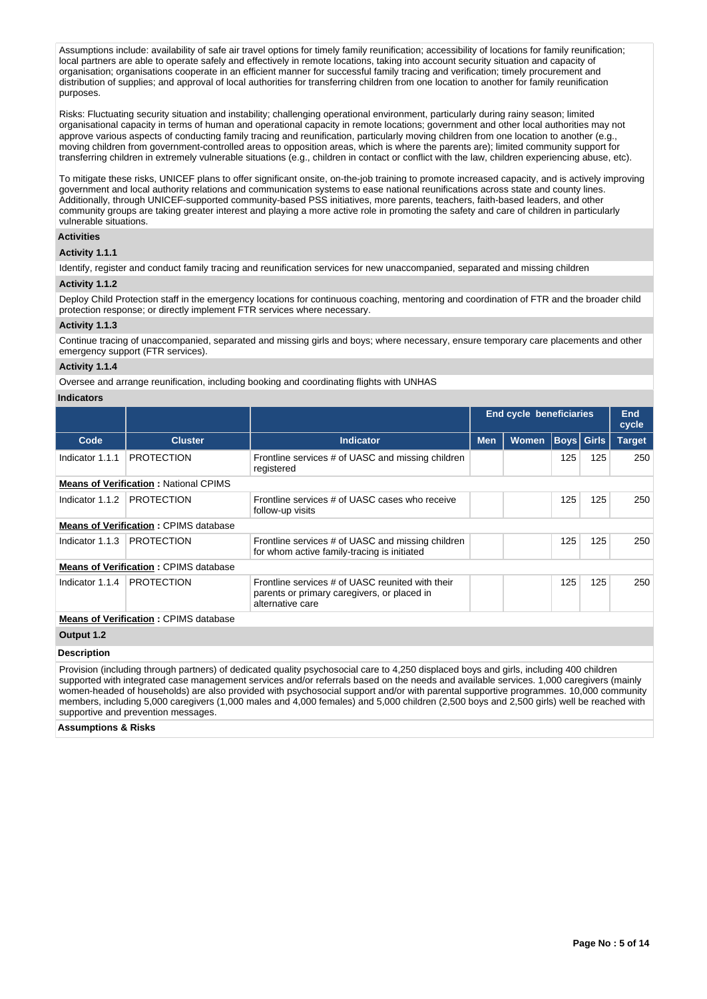Assumptions include: availability of safe air travel options for timely family reunification; accessibility of locations for family reunification; local partners are able to operate safely and effectively in remote locations, taking into account security situation and capacity of organisation; organisations cooperate in an efficient manner for successful family tracing and verification; timely procurement and distribution of supplies; and approval of local authorities for transferring children from one location to another for family reunification purposes.

Risks: Fluctuating security situation and instability; challenging operational environment, particularly during rainy season; limited organisational capacity in terms of human and operational capacity in remote locations; government and other local authorities may not approve various aspects of conducting family tracing and reunification, particularly moving children from one location to another (e.g., moving children from government-controlled areas to opposition areas, which is where the parents are); limited community support for transferring children in extremely vulnerable situations (e.g., children in contact or conflict with the law, children experiencing abuse, etc).

To mitigate these risks, UNICEF plans to offer significant onsite, on-the-job training to promote increased capacity, and is actively improving government and local authority relations and communication systems to ease national reunifications across state and county lines. Additionally, through UNICEF-supported community-based PSS initiatives, more parents, teachers, faith-based leaders, and other community groups are taking greater interest and playing a more active role in promoting the safety and care of children in particularly vulnerable situations.

# **Activities**

# **Activity 1.1.1**

Identify, register and conduct family tracing and reunification services for new unaccompanied, separated and missing children

## **Activity 1.1.2**

Deploy Child Protection staff in the emergency locations for continuous coaching, mentoring and coordination of FTR and the broader child protection response; or directly implement FTR services where necessary.

## **Activity 1.1.3**

Continue tracing of unaccompanied, separated and missing girls and boys; where necessary, ensure temporary care placements and other emergency support (FTR services).

## **Activity 1.1.4**

Oversee and arrange reunification, including booking and coordinating flights with UNHAS

# **Indicators**

|                    |                                              |                                                                                                                     | <b>End cycle beneficiaries</b> |       |             |       | End<br>cycle  |
|--------------------|----------------------------------------------|---------------------------------------------------------------------------------------------------------------------|--------------------------------|-------|-------------|-------|---------------|
| Code               | <b>Cluster</b>                               | <b>Indicator</b>                                                                                                    | <b>Men</b>                     | Women | <b>Boys</b> | Girls | <b>Target</b> |
| Indicator 1.1.1    | <b>PROTECTION</b>                            | Frontline services # of UASC and missing children<br>registered                                                     |                                |       | 125         | 125   | 250           |
|                    | <b>Means of Verification: National CPIMS</b> |                                                                                                                     |                                |       |             |       |               |
| Indicator 1.1.2    | <b>PROTECTION</b>                            | Frontline services # of UASC cases who receive<br>follow-up visits                                                  |                                |       | 125         | 125   | 250           |
|                    | <b>Means of Verification: CPIMS database</b> |                                                                                                                     |                                |       |             |       |               |
| Indicator 1.1.3    | <b>PROTECTION</b>                            | Frontline services # of UASC and missing children<br>for whom active family-tracing is initiated                    |                                |       | 125         | 125   | 250           |
|                    | <b>Means of Verification: CPIMS database</b> |                                                                                                                     |                                |       |             |       |               |
| Indicator 1.1.4    | <b>PROTECTION</b>                            | Frontline services # of UASC reunited with their<br>parents or primary caregivers, or placed in<br>alternative care |                                |       | 125         | 125   | 250           |
|                    | <b>Means of Verification: CPIMS database</b> |                                                                                                                     |                                |       |             |       |               |
| Output 1.2         |                                              |                                                                                                                     |                                |       |             |       |               |
| <b>Docorintion</b> |                                              |                                                                                                                     |                                |       |             |       |               |

#### **Description**

Provision (including through partners) of dedicated quality psychosocial care to 4,250 displaced boys and girls, including 400 children supported with integrated case management services and/or referrals based on the needs and available services. 1,000 caregivers (mainly women-headed of households) are also provided with psychosocial support and/or with parental supportive programmes. 10,000 community members, including 5,000 caregivers (1,000 males and 4,000 females) and 5,000 children (2,500 boys and 2,500 girls) well be reached with supportive and prevention messages.

**Assumptions & Risks**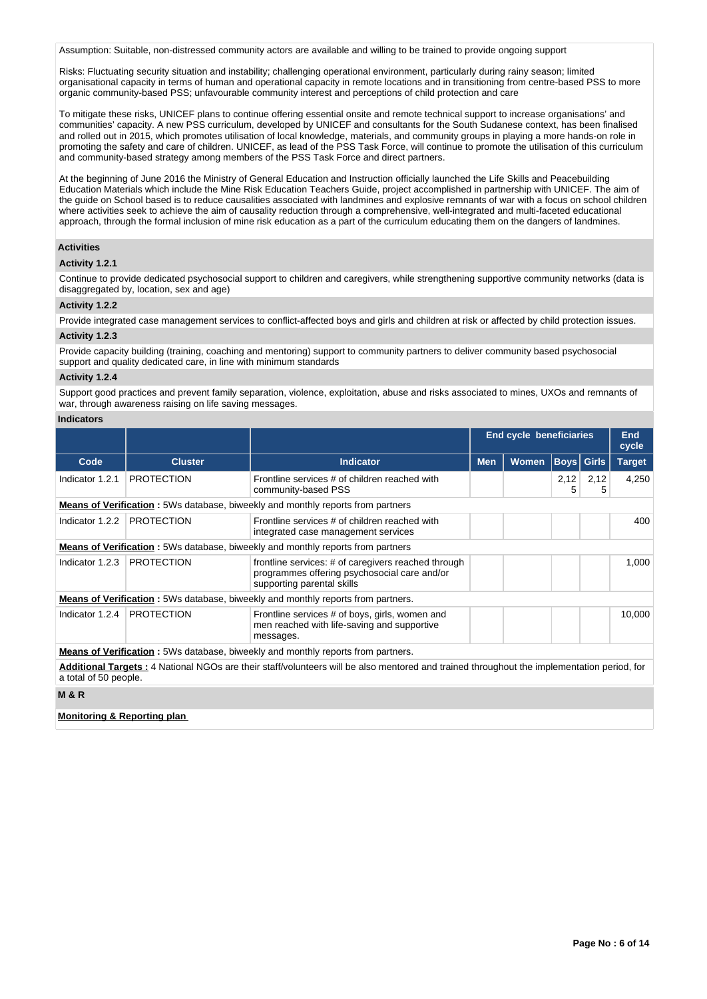Assumption: Suitable, non-distressed community actors are available and willing to be trained to provide ongoing support

Risks: Fluctuating security situation and instability; challenging operational environment, particularly during rainy season; limited organisational capacity in terms of human and operational capacity in remote locations and in transitioning from centre-based PSS to more organic community-based PSS; unfavourable community interest and perceptions of child protection and care

To mitigate these risks, UNICEF plans to continue offering essential onsite and remote technical support to increase organisations' and communities' capacity. A new PSS curriculum, developed by UNICEF and consultants for the South Sudanese context, has been finalised and rolled out in 2015, which promotes utilisation of local knowledge, materials, and community groups in playing a more hands-on role in promoting the safety and care of children. UNICEF, as lead of the PSS Task Force, will continue to promote the utilisation of this curriculum and community-based strategy among members of the PSS Task Force and direct partners.

At the beginning of June 2016 the Ministry of General Education and Instruction officially launched the Life Skills and Peacebuilding Education Materials which include the Mine Risk Education Teachers Guide, project accomplished in partnership with UNICEF. The aim of the guide on School based is to reduce causalities associated with landmines and explosive remnants of war with a focus on school children where activities seek to achieve the aim of causality reduction through a comprehensive, well-integrated and multi-faceted educational approach, through the formal inclusion of mine risk education as a part of the curriculum educating them on the dangers of landmines.

# **Activities**

## **Activity 1.2.1**

Continue to provide dedicated psychosocial support to children and caregivers, while strengthening supportive community networks (data is disaggregated by, location, sex and age)

# **Activity 1.2.2**

Provide integrated case management services to conflict-affected boys and girls and children at risk or affected by child protection issues.

### **Activity 1.2.3**

Provide capacity building (training, coaching and mentoring) support to community partners to deliver community based psychosocial support and quality dedicated care, in line with minimum standards

## **Activity 1.2.4**

Support good practices and prevent family separation, violence, exploitation, abuse and risks associated to mines, UXOs and remnants of war, through awareness raising on life saving messages.

#### **Indicators**

|                                                                                                                                                                     |                   |                                                                                                                                   | End cycle beneficiaries |              |                   | End<br>cycle |               |
|---------------------------------------------------------------------------------------------------------------------------------------------------------------------|-------------------|-----------------------------------------------------------------------------------------------------------------------------------|-------------------------|--------------|-------------------|--------------|---------------|
| Code                                                                                                                                                                | <b>Cluster</b>    | <b>Indicator</b>                                                                                                                  | <b>Men</b>              | <b>Women</b> | <b>Boys</b> Girls |              | <b>Target</b> |
| Indicator 1.2.1                                                                                                                                                     | <b>PROTECTION</b> | Frontline services # of children reached with<br>community-based PSS                                                              |                         |              | 2,12<br>5         | 2,12<br>5    | 4,250         |
|                                                                                                                                                                     |                   | <b>Means of Verification</b> : 5Ws database, biweekly and monthly reports from partners                                           |                         |              |                   |              |               |
| Indicator 1.2.2                                                                                                                                                     | <b>PROTECTION</b> | Frontline services # of children reached with<br>integrated case management services                                              |                         |              |                   |              | 400           |
|                                                                                                                                                                     |                   | <b>Means of Verification</b> : 5Ws database, biweekly and monthly reports from partners                                           |                         |              |                   |              |               |
| Indicator 1.2.3                                                                                                                                                     | <b>PROTECTION</b> | frontline services: # of caregivers reached through<br>programmes offering psychosocial care and/or<br>supporting parental skills |                         |              |                   |              | 1,000         |
|                                                                                                                                                                     |                   | <b>Means of Verification:</b> 5Ws database, biweekly and monthly reports from partners.                                           |                         |              |                   |              |               |
| Indicator 1.2.4                                                                                                                                                     | <b>PROTECTION</b> | Frontline services # of boys, girls, women and<br>men reached with life-saving and supportive<br>messages.                        |                         |              |                   |              | 10,000        |
| <b>Means of Verification:</b> 5Ws database, biweekly and monthly reports from partners.                                                                             |                   |                                                                                                                                   |                         |              |                   |              |               |
| Additional Targets: 4 National NGOs are their staff/volunteers will be also mentored and trained throughout the implementation period, for<br>a total of 50 people. |                   |                                                                                                                                   |                         |              |                   |              |               |
| <b>M&amp;R</b>                                                                                                                                                      |                   |                                                                                                                                   |                         |              |                   |              |               |

# **Monitoring & Reporting plan**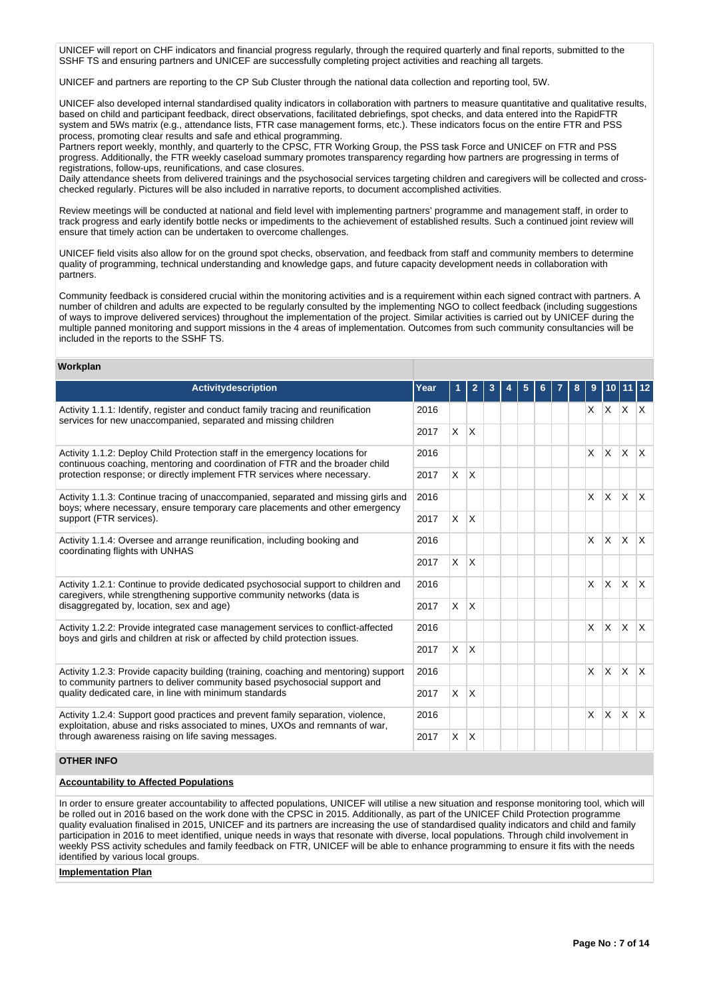UNICEF will report on CHF indicators and financial progress regularly, through the required quarterly and final reports, submitted to the SSHF TS and ensuring partners and UNICEF are successfully completing project activities and reaching all targets.

UNICEF and partners are reporting to the CP Sub Cluster through the national data collection and reporting tool, 5W.

UNICEF also developed internal standardised quality indicators in collaboration with partners to measure quantitative and qualitative results, based on child and participant feedback, direct observations, facilitated debriefings, spot checks, and data entered into the RapidFTR system and 5Ws matrix (e.g., attendance lists, FTR case management forms, etc.). These indicators focus on the entire FTR and PSS process, promoting clear results and safe and ethical programming.

Partners report weekly, monthly, and quarterly to the CPSC, FTR Working Group, the PSS task Force and UNICEF on FTR and PSS progress. Additionally, the FTR weekly caseload summary promotes transparency regarding how partners are progressing in terms of registrations, follow-ups, reunifications, and case closures.

Daily attendance sheets from delivered trainings and the psychosocial services targeting children and caregivers will be collected and crosschecked regularly. Pictures will be also included in narrative reports, to document accomplished activities.

Review meetings will be conducted at national and field level with implementing partners' programme and management staff, in order to track progress and early identify bottle necks or impediments to the achievement of established results. Such a continued joint review will ensure that timely action can be undertaken to overcome challenges.

UNICEF field visits also allow for on the ground spot checks, observation, and feedback from staff and community members to determine quality of programming, technical understanding and knowledge gaps, and future capacity development needs in collaboration with partners.

Community feedback is considered crucial within the monitoring activities and is a requirement within each signed contract with partners. A number of children and adults are expected to be regularly consulted by the implementing NGO to collect feedback (including suggestions of ways to improve delivered services) throughout the implementation of the project. Similar activities is carried out by UNICEF during the multiple panned monitoring and support missions in the 4 areas of implementation. Outcomes from such community consultancies will be included in the reports to the SSHF TS.

### **Workplan**

| <b>Activitydescription</b>                                                                                                                                                                                            | Year |              | $\mathbf{2}$ | 3 | 5 | 6. | 8 | 9        |          |                      |                        |
|-----------------------------------------------------------------------------------------------------------------------------------------------------------------------------------------------------------------------|------|--------------|--------------|---|---|----|---|----------|----------|----------------------|------------------------|
| Activity 1.1.1: Identify, register and conduct family tracing and reunification<br>services for new unaccompanied, separated and missing children                                                                     |      |              |              |   |   |    |   | X.       |          | $X$ $X$ $X$          |                        |
|                                                                                                                                                                                                                       |      | $\times$     | $\mathsf{X}$ |   |   |    |   |          |          |                      |                        |
| Activity 1.1.2: Deploy Child Protection staff in the emergency locations for<br>continuous coaching, mentoring and coordination of FTR and the broader child                                                          | 2016 |              |              |   |   |    |   | $\times$ | <b>X</b> | $\mathsf{X}$         | $\mathsf{X}$           |
| protection response; or directly implement FTR services where necessary.                                                                                                                                              | 2017 | $\times$     | $\mathsf{X}$ |   |   |    |   |          |          |                      |                        |
| Activity 1.1.3: Continue tracing of unaccompanied, separated and missing girls and<br>boys; where necessary, ensure temporary care placements and other emergency<br>support (FTR services).                          | 2016 |              |              |   |   |    |   | X        |          | $x \mid x \mid x$    |                        |
|                                                                                                                                                                                                                       | 2017 | $\times$     | <sup>X</sup> |   |   |    |   |          |          |                      |                        |
| Activity 1.1.4: Oversee and arrange reunification, including booking and<br>coordinating flights with UNHAS                                                                                                           | 2016 |              |              |   |   |    |   | X        | <b>X</b> | $\mathsf{X}$         | İΧ                     |
|                                                                                                                                                                                                                       | 2017 | $\times$     | $\mathsf{X}$ |   |   |    |   |          |          |                      |                        |
| Activity 1.2.1: Continue to provide dedicated psychosocial support to children and<br>caregivers, while strengthening supportive community networks (data is                                                          | 2016 |              |              |   |   |    |   | $\times$ | <b>X</b> | $\mathsf{X}$         | $\mathsf{X}$           |
| disaggregated by, location, sex and age)                                                                                                                                                                              | 2017 | $\times$     | $\mathsf{X}$ |   |   |    |   |          |          |                      |                        |
| Activity 1.2.2: Provide integrated case management services to conflict-affected<br>boys and girls and children at risk or affected by child protection issues.                                                       | 2016 |              |              |   |   |    |   | $\times$ | <b>X</b> | ΙX.                  | $\mathsf{X}$           |
|                                                                                                                                                                                                                       | 2017 | X.           | <sup>X</sup> |   |   |    |   |          |          |                      |                        |
| Activity 1.2.3: Provide capacity building (training, coaching and mentoring) support<br>to community partners to deliver community based psychosocial support and                                                     | 2016 |              |              |   |   |    |   | $\times$ | <b>X</b> | $\mathsf{x}$         | $\mathsf{X}$           |
| quality dedicated care, in line with minimum standards                                                                                                                                                                | 2017 | $\mathsf{X}$ | $\mathsf{X}$ |   |   |    |   |          |          |                      |                        |
| Activity 1.2.4: Support good practices and prevent family separation, violence,<br>exploitation, abuse and risks associated to mines, UXOs and remnants of war,<br>through awareness raising on life saving messages. |      |              |              |   |   |    |   | X        | <b>X</b> | $ \hat{\mathbf{X}} $ | $\mathsf{I}\mathsf{X}$ |
|                                                                                                                                                                                                                       |      | $\times$     | $\mathsf{X}$ |   |   |    |   |          |          |                      |                        |
| <b>OTHER INFO</b>                                                                                                                                                                                                     |      |              |              |   |   |    |   |          |          |                      |                        |

## **Accountability to Affected Populations**

In order to ensure greater accountability to affected populations, UNICEF will utilise a new situation and response monitoring tool, which will be rolled out in 2016 based on the work done with the CPSC in 2015. Additionally, as part of the UNICEF Child Protection programme quality evaluation finalised in 2015, UNICEF and its partners are increasing the use of standardised quality indicators and child and family participation in 2016 to meet identified, unique needs in ways that resonate with diverse, local populations. Through child involvement in weekly PSS activity schedules and family feedback on FTR, UNICEF will be able to enhance programming to ensure it fits with the needs identified by various local groups.

#### **Implementation Plan**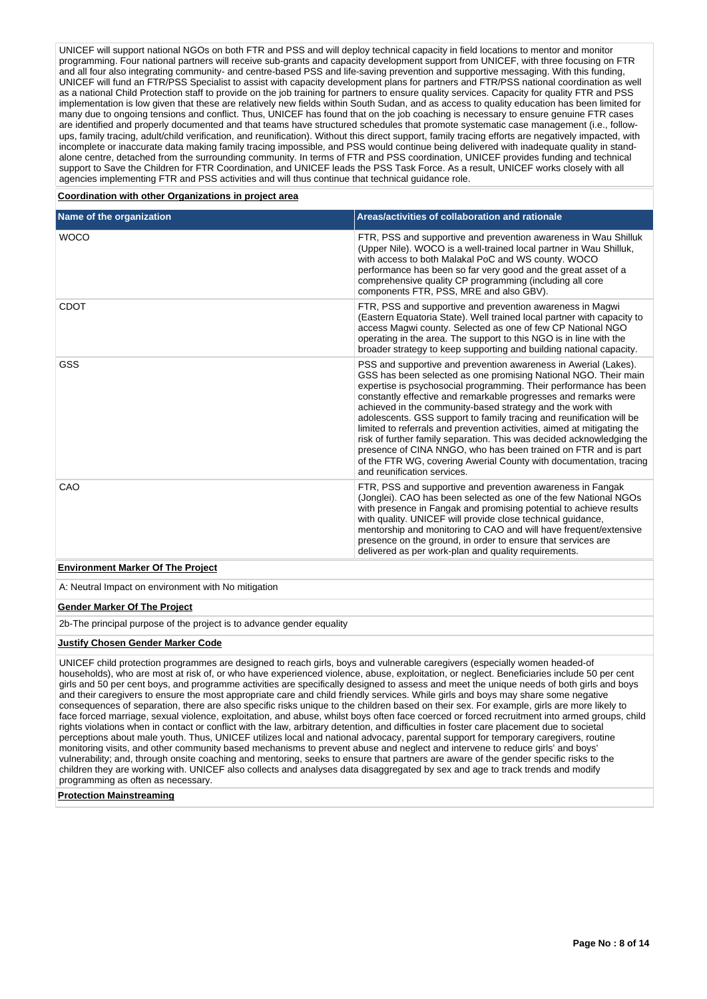UNICEF will support national NGOs on both FTR and PSS and will deploy technical capacity in field locations to mentor and monitor programming. Four national partners will receive sub-grants and capacity development support from UNICEF, with three focusing on FTR and all four also integrating community- and centre-based PSS and life-saving prevention and supportive messaging. With this funding, UNICEF will fund an FTR/PSS Specialist to assist with capacity development plans for partners and FTR/PSS national coordination as well as a national Child Protection staff to provide on the job training for partners to ensure quality services. Capacity for quality FTR and PSS implementation is low given that these are relatively new fields within South Sudan, and as access to quality education has been limited for many due to ongoing tensions and conflict. Thus, UNICEF has found that on the job coaching is necessary to ensure genuine FTR cases are identified and properly documented and that teams have structured schedules that promote systematic case management (i.e., followups, family tracing, adult/child verification, and reunification). Without this direct support, family tracing efforts are negatively impacted, with incomplete or inaccurate data making family tracing impossible, and PSS would continue being delivered with inadequate quality in standalone centre, detached from the surrounding community. In terms of FTR and PSS coordination, UNICEF provides funding and technical support to Save the Children for FTR Coordination, and UNICEF leads the PSS Task Force. As a result, UNICEF works closely with all agencies implementing FTR and PSS activities and will thus continue that technical guidance role.

### **Coordination with other Organizations in project area**

| Name of the organization                 | Areas/activities of collaboration and rationale                                                                                                                                                                                                                                                                                                                                                                                                                                                                                                                                                                                                                                                                                             |
|------------------------------------------|---------------------------------------------------------------------------------------------------------------------------------------------------------------------------------------------------------------------------------------------------------------------------------------------------------------------------------------------------------------------------------------------------------------------------------------------------------------------------------------------------------------------------------------------------------------------------------------------------------------------------------------------------------------------------------------------------------------------------------------------|
| <b>WOCO</b>                              | FTR, PSS and supportive and prevention awareness in Wau Shilluk<br>(Upper Nile). WOCO is a well-trained local partner in Wau Shilluk,<br>with access to both Malakal PoC and WS county. WOCO<br>performance has been so far very good and the great asset of a<br>comprehensive quality CP programming (including all core<br>components FTR, PSS, MRE and also GBV).                                                                                                                                                                                                                                                                                                                                                                       |
| <b>CDOT</b>                              | FTR, PSS and supportive and prevention awareness in Magwi<br>(Eastern Equatoria State). Well trained local partner with capacity to<br>access Magwi county. Selected as one of few CP National NGO<br>operating in the area. The support to this NGO is in line with the<br>broader strategy to keep supporting and building national capacity.                                                                                                                                                                                                                                                                                                                                                                                             |
| <b>GSS</b>                               | PSS and supportive and prevention awareness in Awerial (Lakes).<br>GSS has been selected as one promising National NGO. Their main<br>expertise is psychosocial programming. Their performance has been<br>constantly effective and remarkable progresses and remarks were<br>achieved in the community-based strategy and the work with<br>adolescents. GSS support to family tracing and reunification will be<br>limited to referrals and prevention activities, aimed at mitigating the<br>risk of further family separation. This was decided acknowledging the<br>presence of CINA NNGO, who has been trained on FTR and is part<br>of the FTR WG, covering Awerial County with documentation, tracing<br>and reunification services. |
| CAO                                      | FTR, PSS and supportive and prevention awareness in Fangak<br>(Jonglei). CAO has been selected as one of the few National NGOs<br>with presence in Fangak and promising potential to achieve results<br>with quality. UNICEF will provide close technical guidance,<br>mentorship and monitoring to CAO and will have frequent/extensive<br>presence on the ground, in order to ensure that services are<br>delivered as per work-plan and quality requirements.                                                                                                                                                                                                                                                                            |
| <b>Environment Marker Of The Project</b> |                                                                                                                                                                                                                                                                                                                                                                                                                                                                                                                                                                                                                                                                                                                                             |

A: Neutral Impact on environment with No mitigation

## **Gender Marker Of The Project**

2b-The principal purpose of the project is to advance gender equality

## **Justify Chosen Gender Marker Code**

UNICEF child protection programmes are designed to reach girls, boys and vulnerable caregivers (especially women headed-of households), who are most at risk of, or who have experienced violence, abuse, exploitation, or neglect. Beneficiaries include 50 per cent girls and 50 per cent boys, and programme activities are specifically designed to assess and meet the unique needs of both girls and boys and their caregivers to ensure the most appropriate care and child friendly services. While girls and boys may share some negative consequences of separation, there are also specific risks unique to the children based on their sex. For example, girls are more likely to face forced marriage, sexual violence, exploitation, and abuse, whilst boys often face coerced or forced recruitment into armed groups, child rights violations when in contact or conflict with the law, arbitrary detention, and difficulties in foster care placement due to societal perceptions about male youth. Thus, UNICEF utilizes local and national advocacy, parental support for temporary caregivers, routine monitoring visits, and other community based mechanisms to prevent abuse and neglect and intervene to reduce girls' and boys' vulnerability; and, through onsite coaching and mentoring, seeks to ensure that partners are aware of the gender specific risks to the children they are working with. UNICEF also collects and analyses data disaggregated by sex and age to track trends and modify programming as often as necessary.

**Protection Mainstreaming**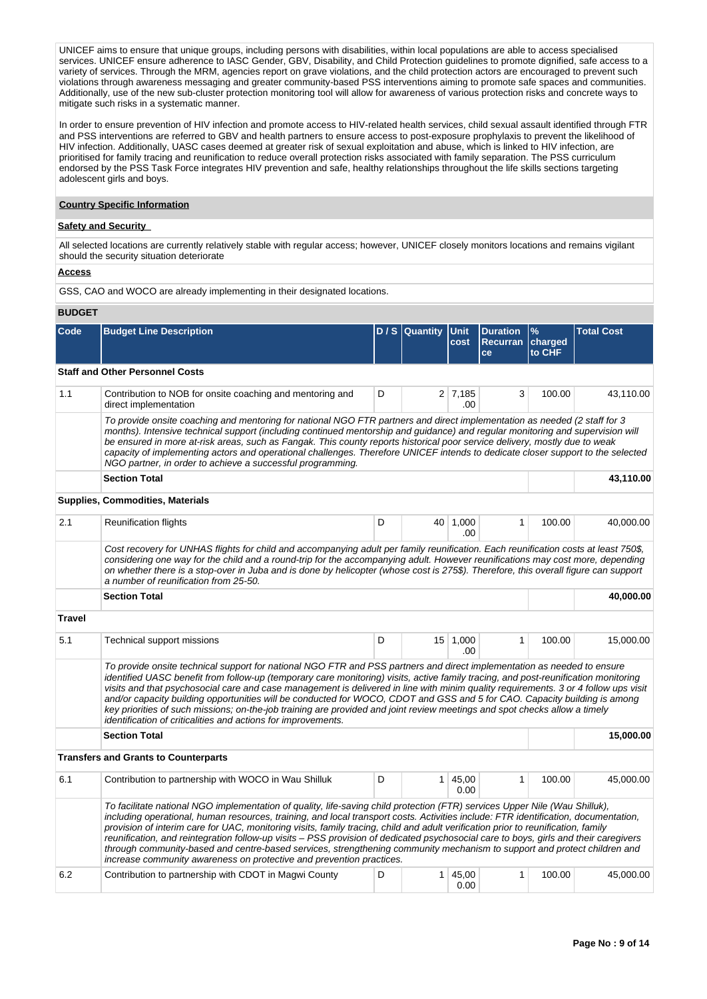UNICEF aims to ensure that unique groups, including persons with disabilities, within local populations are able to access specialised services. UNICEF ensure adherence to IASC Gender, GBV, Disability, and Child Protection guidelines to promote dignified, safe access to a variety of services. Through the MRM, agencies report on grave violations, and the child protection actors are encouraged to prevent such violations through awareness messaging and greater community-based PSS interventions aiming to promote safe spaces and communities. Additionally, use of the new sub-cluster protection monitoring tool will allow for awareness of various protection risks and concrete ways to mitigate such risks in a systematic manner.

In order to ensure prevention of HIV infection and promote access to HIV-related health services, child sexual assault identified through FTR and PSS interventions are referred to GBV and health partners to ensure access to post-exposure prophylaxis to prevent the likelihood of HIV infection. Additionally, UASC cases deemed at greater risk of sexual exploitation and abuse, which is linked to HIV infection, are prioritised for family tracing and reunification to reduce overall protection risks associated with family separation. The PSS curriculum endorsed by the PSS Task Force integrates HIV prevention and safe, healthy relationships throughout the life skills sections targeting adolescent girls and boys.

## **Country Specific Information**

# **Safety and Security**

All selected locations are currently relatively stable with regular access; however, UNICEF closely monitors locations and remains vigilant should the security situation deteriorate

#### **Access**

GSS, CAO and WOCO are already implementing in their designated locations.

#### **BUDGET**

| Code          | <b>Budget Line Description</b>                                                                                                                                                                                                                                                                                                                                                                                                                                                                                                                                                                                                                                                                                                                      |   | D / S Quantity | <b>IUnit</b><br>cost   | <b>Duration</b><br><b>Recurran</b><br>ce | $\frac{9}{6}$<br>charged<br>to CHF | <b>Total Cost</b> |  |  |  |  |  |
|---------------|-----------------------------------------------------------------------------------------------------------------------------------------------------------------------------------------------------------------------------------------------------------------------------------------------------------------------------------------------------------------------------------------------------------------------------------------------------------------------------------------------------------------------------------------------------------------------------------------------------------------------------------------------------------------------------------------------------------------------------------------------------|---|----------------|------------------------|------------------------------------------|------------------------------------|-------------------|--|--|--|--|--|
|               | <b>Staff and Other Personnel Costs</b>                                                                                                                                                                                                                                                                                                                                                                                                                                                                                                                                                                                                                                                                                                              |   |                |                        |                                          |                                    |                   |  |  |  |  |  |
| 1.1           | Contribution to NOB for onsite coaching and mentoring and<br>direct implementation                                                                                                                                                                                                                                                                                                                                                                                                                                                                                                                                                                                                                                                                  | 3 | 100.00         | 43,110.00              |                                          |                                    |                   |  |  |  |  |  |
|               | To provide onsite coaching and mentoring for national NGO FTR partners and direct implementation as needed (2 staff for 3<br>months). Intensive technical support (including continued mentorship and guidance) and regular monitoring and supervision will<br>be ensured in more at-risk areas, such as Fangak. This county reports historical poor service delivery, mostly due to weak<br>capacity of implementing actors and operational challenges. Therefore UNICEF intends to dedicate closer support to the selected<br>NGO partner, in order to achieve a successful programming.                                                                                                                                                          |   |                |                        |                                          |                                    |                   |  |  |  |  |  |
|               | <b>Section Total</b>                                                                                                                                                                                                                                                                                                                                                                                                                                                                                                                                                                                                                                                                                                                                |   |                |                        |                                          |                                    |                   |  |  |  |  |  |
|               | <b>Supplies, Commodities, Materials</b>                                                                                                                                                                                                                                                                                                                                                                                                                                                                                                                                                                                                                                                                                                             |   |                |                        |                                          |                                    |                   |  |  |  |  |  |
| 2.1           | <b>Reunification flights</b>                                                                                                                                                                                                                                                                                                                                                                                                                                                                                                                                                                                                                                                                                                                        | D |                | 40 1,000<br>.00        | $\mathbf{1}$                             | 100.00                             | 40,000.00         |  |  |  |  |  |
|               | Cost recovery for UNHAS flights for child and accompanying adult per family reunification. Each reunification costs at least 750\$,<br>considering one way for the child and a round-trip for the accompanying adult. However reunifications may cost more, depending<br>on whether there is a stop-over in Juba and is done by helicopter (whose cost is 275\$). Therefore, this overall figure can support<br>a number of reunification from 25-50.                                                                                                                                                                                                                                                                                               |   |                |                        |                                          |                                    |                   |  |  |  |  |  |
|               | <b>Section Total</b>                                                                                                                                                                                                                                                                                                                                                                                                                                                                                                                                                                                                                                                                                                                                |   |                |                        |                                          |                                    | 40,000.00         |  |  |  |  |  |
| <b>Travel</b> |                                                                                                                                                                                                                                                                                                                                                                                                                                                                                                                                                                                                                                                                                                                                                     |   |                |                        |                                          |                                    |                   |  |  |  |  |  |
| 5.1           | Technical support missions                                                                                                                                                                                                                                                                                                                                                                                                                                                                                                                                                                                                                                                                                                                          | D |                | 15 1,000<br>.00        | $\mathbf{1}$                             | 100.00                             | 15,000.00         |  |  |  |  |  |
|               | To provide onsite technical support for national NGO FTR and PSS partners and direct implementation as needed to ensure<br>identified UASC benefit from follow-up (temporary care monitoring) visits, active family tracing, and post-reunification monitoring<br>visits and that psychosocial care and case management is delivered in line with minim quality requirements. 3 or 4 follow ups visit<br>and/or capacity building opportunities will be conducted for WOCO, CDOT and GSS and 5 for CAO. Capacity building is among<br>key priorities of such missions; on-the-job training are provided and joint review meetings and spot checks allow a timely<br>identification of criticalities and actions for improvements.                   |   |                |                        |                                          |                                    |                   |  |  |  |  |  |
|               | <b>Section Total</b>                                                                                                                                                                                                                                                                                                                                                                                                                                                                                                                                                                                                                                                                                                                                |   |                |                        |                                          |                                    | 15,000.00         |  |  |  |  |  |
|               | <b>Transfers and Grants to Counterparts</b>                                                                                                                                                                                                                                                                                                                                                                                                                                                                                                                                                                                                                                                                                                         |   |                |                        |                                          |                                    |                   |  |  |  |  |  |
| 6.1           | Contribution to partnership with WOCO in Wau Shilluk                                                                                                                                                                                                                                                                                                                                                                                                                                                                                                                                                                                                                                                                                                | D |                | $1 \mid 45,00$<br>0.00 | $\mathbf{1}$                             | 100.00                             | 45,000.00         |  |  |  |  |  |
|               | To facilitate national NGO implementation of quality, life-saving child protection (FTR) services Upper Nile (Wau Shilluk),<br>including operational, human resources, training, and local transport costs. Activities include: FTR identification, documentation,<br>provision of interim care for UAC, monitoring visits, family tracing, child and adult verification prior to reunification, family<br>reunification, and reintegration follow-up visits - PSS provision of dedicated psychosocial care to boys, girls and their caregivers<br>through community-based and centre-based services, strengthening community mechanism to support and protect children and<br>increase community awareness on protective and prevention practices. |   |                |                        |                                          |                                    |                   |  |  |  |  |  |
| 6.2           | Contribution to partnership with CDOT in Magwi County                                                                                                                                                                                                                                                                                                                                                                                                                                                                                                                                                                                                                                                                                               | D |                | 1   45,00<br>0.00      | $\mathbf{1}$                             | 100.00                             | 45,000.00         |  |  |  |  |  |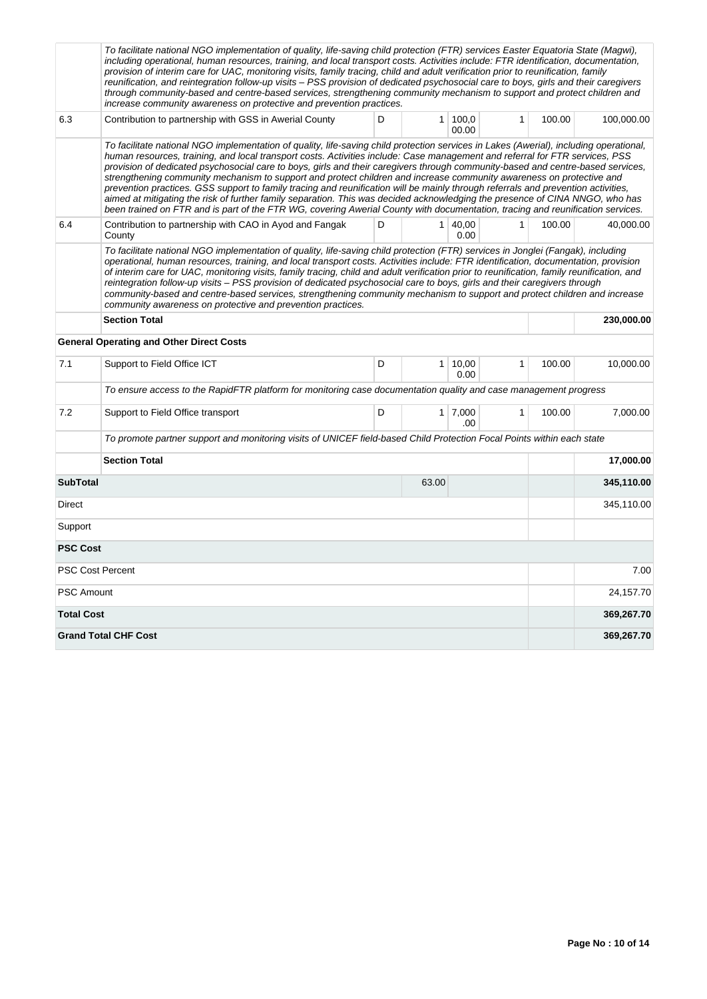| To facilitate national NGO implementation of quality, life-saving child protection (FTR) services Easter Equatoria State (Magwi),<br>including operational, human resources, training, and local transport costs. Activities include: FTR identification, documentation,<br>provision of interim care for UAC, monitoring visits, family tracing, child and adult verification prior to reunification, family<br>reunification, and reintegration follow-up visits - PSS provision of dedicated psychosocial care to boys, girls and their caregivers<br>through community-based and centre-based services, strengthening community mechanism to support and protect children and<br>increase community awareness on protective and prevention practices.                                                                                                                                                                                |                                                                                                                        |            |                |                       |              |        |            |  |
|------------------------------------------------------------------------------------------------------------------------------------------------------------------------------------------------------------------------------------------------------------------------------------------------------------------------------------------------------------------------------------------------------------------------------------------------------------------------------------------------------------------------------------------------------------------------------------------------------------------------------------------------------------------------------------------------------------------------------------------------------------------------------------------------------------------------------------------------------------------------------------------------------------------------------------------|------------------------------------------------------------------------------------------------------------------------|------------|----------------|-----------------------|--------------|--------|------------|--|
| 6.3                                                                                                                                                                                                                                                                                                                                                                                                                                                                                                                                                                                                                                                                                                                                                                                                                                                                                                                                      | Contribution to partnership with GSS in Awerial County                                                                 | 100.00     | 100,000.00     |                       |              |        |            |  |
| To facilitate national NGO implementation of quality, life-saving child protection services in Lakes (Awerial), including operational,<br>human resources, training, and local transport costs. Activities include: Case management and referral for FTR services, PSS<br>provision of dedicated psychosocial care to boys, girls and their caregivers through community-based and centre-based services,<br>strengthening community mechanism to support and protect children and increase community awareness on protective and<br>prevention practices. GSS support to family tracing and reunification will be mainly through referrals and prevention activities,<br>aimed at mitigating the risk of further family separation. This was decided acknowledging the presence of CINA NNGO, who has<br>been trained on FTR and is part of the FTR WG, covering Awerial County with documentation, tracing and reunification services. |                                                                                                                        |            |                |                       |              |        |            |  |
| 6.4                                                                                                                                                                                                                                                                                                                                                                                                                                                                                                                                                                                                                                                                                                                                                                                                                                                                                                                                      | Contribution to partnership with CAO in Ayod and Fangak<br>County                                                      | D          |                | 1   40,00<br>0.00     | $\mathbf{1}$ | 100.00 | 40,000.00  |  |
| To facilitate national NGO implementation of quality, life-saving child protection (FTR) services in Jonglei (Fangak), including<br>operational, human resources, training, and local transport costs. Activities include: FTR identification, documentation, provision<br>of interim care for UAC, monitoring visits, family tracing, child and adult verification prior to reunification, family reunification, and<br>reintegration follow-up visits – PSS provision of dedicated psychosocial care to boys, girls and their caregivers through<br>community-based and centre-based services, strengthening community mechanism to support and protect children and increase<br>community awareness on protective and prevention practices.                                                                                                                                                                                           |                                                                                                                        |            |                |                       |              |        |            |  |
|                                                                                                                                                                                                                                                                                                                                                                                                                                                                                                                                                                                                                                                                                                                                                                                                                                                                                                                                          |                                                                                                                        | 230,000.00 |                |                       |              |        |            |  |
| <b>General Operating and Other Direct Costs</b>                                                                                                                                                                                                                                                                                                                                                                                                                                                                                                                                                                                                                                                                                                                                                                                                                                                                                          |                                                                                                                        |            |                |                       |              |        |            |  |
| 7.1                                                                                                                                                                                                                                                                                                                                                                                                                                                                                                                                                                                                                                                                                                                                                                                                                                                                                                                                      | Support to Field Office ICT                                                                                            | D          | 1 <sup>1</sup> | 10,00<br>0.00         | $\mathbf{1}$ | 100.00 | 10,000.00  |  |
|                                                                                                                                                                                                                                                                                                                                                                                                                                                                                                                                                                                                                                                                                                                                                                                                                                                                                                                                          | To ensure access to the RapidFTR platform for monitoring case documentation quality and case management progress       |            |                |                       |              |        |            |  |
| 7.2                                                                                                                                                                                                                                                                                                                                                                                                                                                                                                                                                                                                                                                                                                                                                                                                                                                                                                                                      | Support to Field Office transport                                                                                      | D          |                | $1 \mid 7,000$<br>.00 | $\mathbf{1}$ | 100.00 | 7,000.00   |  |
|                                                                                                                                                                                                                                                                                                                                                                                                                                                                                                                                                                                                                                                                                                                                                                                                                                                                                                                                          | To promote partner support and monitoring visits of UNICEF field-based Child Protection Focal Points within each state |            |                |                       |              |        |            |  |
|                                                                                                                                                                                                                                                                                                                                                                                                                                                                                                                                                                                                                                                                                                                                                                                                                                                                                                                                          | <b>Section Total</b><br>17,000.00                                                                                      |            |                |                       |              |        |            |  |
| <b>SubTotal</b>                                                                                                                                                                                                                                                                                                                                                                                                                                                                                                                                                                                                                                                                                                                                                                                                                                                                                                                          |                                                                                                                        |            | 63.00          |                       |              |        | 345,110.00 |  |
| Direct                                                                                                                                                                                                                                                                                                                                                                                                                                                                                                                                                                                                                                                                                                                                                                                                                                                                                                                                   |                                                                                                                        |            |                |                       |              |        | 345,110.00 |  |
| Support                                                                                                                                                                                                                                                                                                                                                                                                                                                                                                                                                                                                                                                                                                                                                                                                                                                                                                                                  |                                                                                                                        |            |                |                       |              |        |            |  |
| <b>PSC Cost</b>                                                                                                                                                                                                                                                                                                                                                                                                                                                                                                                                                                                                                                                                                                                                                                                                                                                                                                                          |                                                                                                                        |            |                |                       |              |        |            |  |
| <b>PSC Cost Percent</b>                                                                                                                                                                                                                                                                                                                                                                                                                                                                                                                                                                                                                                                                                                                                                                                                                                                                                                                  |                                                                                                                        |            |                |                       |              |        | 7.00       |  |
| <b>PSC Amount</b>                                                                                                                                                                                                                                                                                                                                                                                                                                                                                                                                                                                                                                                                                                                                                                                                                                                                                                                        |                                                                                                                        |            |                |                       |              |        | 24,157.70  |  |
| <b>Total Cost</b>                                                                                                                                                                                                                                                                                                                                                                                                                                                                                                                                                                                                                                                                                                                                                                                                                                                                                                                        |                                                                                                                        |            |                |                       |              |        | 369,267.70 |  |
|                                                                                                                                                                                                                                                                                                                                                                                                                                                                                                                                                                                                                                                                                                                                                                                                                                                                                                                                          | <b>Grand Total CHF Cost</b>                                                                                            |            |                |                       |              |        | 369,267.70 |  |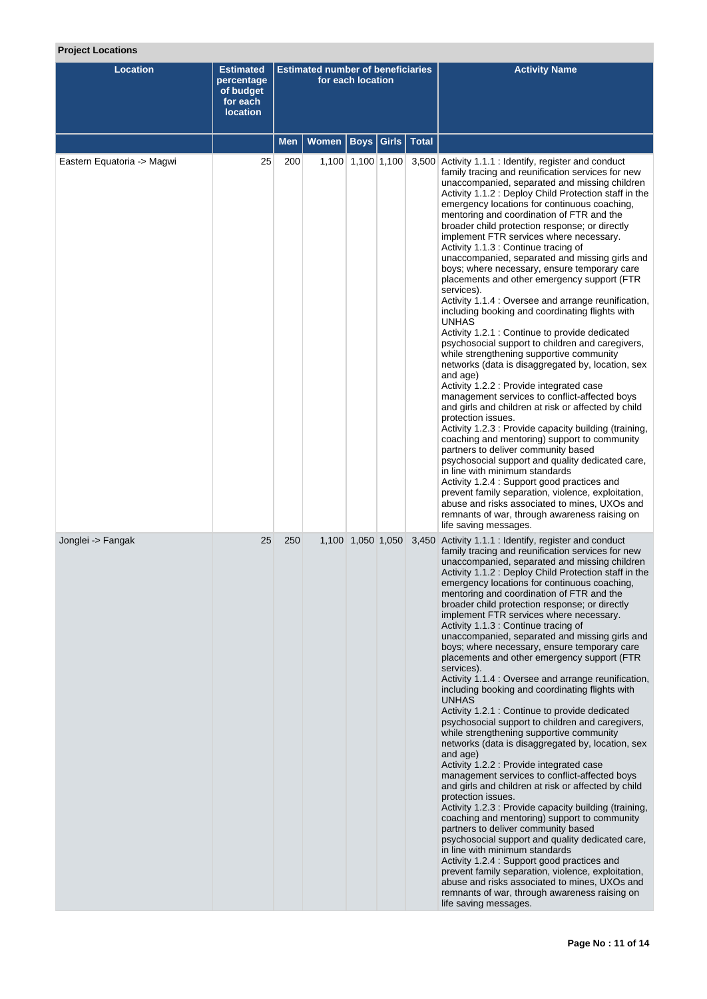# **Project Locations**

| <b>Location</b>            | <b>Estimated</b><br>percentage<br>of budget<br>for each<br><b>location</b> | <b>Estimated number of beneficiaries</b><br>for each location |       |                   |              | <b>Activity Name</b>                                                                                                                                                                                                                                                                                                                                                                                                                                                                                                                                                                                                                                                                                                                                                                                                                                                                                                                                                                                                                                                                                                                                                                                                                                                                                                                                                                                                                                                                                                                                                                                               |
|----------------------------|----------------------------------------------------------------------------|---------------------------------------------------------------|-------|-------------------|--------------|--------------------------------------------------------------------------------------------------------------------------------------------------------------------------------------------------------------------------------------------------------------------------------------------------------------------------------------------------------------------------------------------------------------------------------------------------------------------------------------------------------------------------------------------------------------------------------------------------------------------------------------------------------------------------------------------------------------------------------------------------------------------------------------------------------------------------------------------------------------------------------------------------------------------------------------------------------------------------------------------------------------------------------------------------------------------------------------------------------------------------------------------------------------------------------------------------------------------------------------------------------------------------------------------------------------------------------------------------------------------------------------------------------------------------------------------------------------------------------------------------------------------------------------------------------------------------------------------------------------------|
|                            |                                                                            | Men                                                           | Women | Boys   Girls      | <b>Total</b> |                                                                                                                                                                                                                                                                                                                                                                                                                                                                                                                                                                                                                                                                                                                                                                                                                                                                                                                                                                                                                                                                                                                                                                                                                                                                                                                                                                                                                                                                                                                                                                                                                    |
| Eastern Equatoria -> Magwi | 25                                                                         | 200                                                           |       | 1,100 1,100 1,100 |              | 3,500 Activity 1.1.1 : Identify, register and conduct<br>family tracing and reunification services for new<br>unaccompanied, separated and missing children<br>Activity 1.1.2 : Deploy Child Protection staff in the<br>emergency locations for continuous coaching,<br>mentoring and coordination of FTR and the<br>broader child protection response; or directly<br>implement FTR services where necessary.<br>Activity 1.1.3 : Continue tracing of<br>unaccompanied, separated and missing girls and<br>boys; where necessary, ensure temporary care<br>placements and other emergency support (FTR<br>services).<br>Activity 1.1.4 : Oversee and arrange reunification,<br>including booking and coordinating flights with<br><b>UNHAS</b><br>Activity 1.2.1 : Continue to provide dedicated<br>psychosocial support to children and caregivers,<br>while strengthening supportive community<br>networks (data is disaggregated by, location, sex<br>and age)<br>Activity 1.2.2 : Provide integrated case<br>management services to conflict-affected boys<br>and girls and children at risk or affected by child<br>protection issues.<br>Activity 1.2.3 : Provide capacity building (training,<br>coaching and mentoring) support to community<br>partners to deliver community based<br>psychosocial support and quality dedicated care,<br>in line with minimum standards<br>Activity 1.2.4 : Support good practices and<br>prevent family separation, violence, exploitation,<br>abuse and risks associated to mines, UXOs and<br>remnants of war, through awareness raising on<br>life saving messages. |
| Jonglei -> Fangak          | 25                                                                         | 250                                                           |       | 1,100 1,050 1,050 |              | 3,450 Activity 1.1.1 : Identify, register and conduct<br>family tracing and reunification services for new<br>unaccompanied, separated and missing children<br>Activity 1.1.2 : Deploy Child Protection staff in the<br>emergency locations for continuous coaching,<br>mentoring and coordination of FTR and the<br>broader child protection response; or directly<br>implement FTR services where necessary.<br>Activity 1.1.3 : Continue tracing of<br>unaccompanied, separated and missing girls and<br>boys; where necessary, ensure temporary care<br>placements and other emergency support (FTR<br>services).<br>Activity 1.1.4 : Oversee and arrange reunification,<br>including booking and coordinating flights with<br><b>UNHAS</b><br>Activity 1.2.1 : Continue to provide dedicated<br>psychosocial support to children and caregivers,<br>while strengthening supportive community<br>networks (data is disaggregated by, location, sex<br>and age)<br>Activity 1.2.2 : Provide integrated case<br>management services to conflict-affected boys<br>and girls and children at risk or affected by child<br>protection issues.<br>Activity 1.2.3 : Provide capacity building (training,<br>coaching and mentoring) support to community<br>partners to deliver community based<br>psychosocial support and quality dedicated care,<br>in line with minimum standards<br>Activity 1.2.4 : Support good practices and<br>prevent family separation, violence, exploitation,<br>abuse and risks associated to mines, UXOs and<br>remnants of war, through awareness raising on<br>life saving messages. |